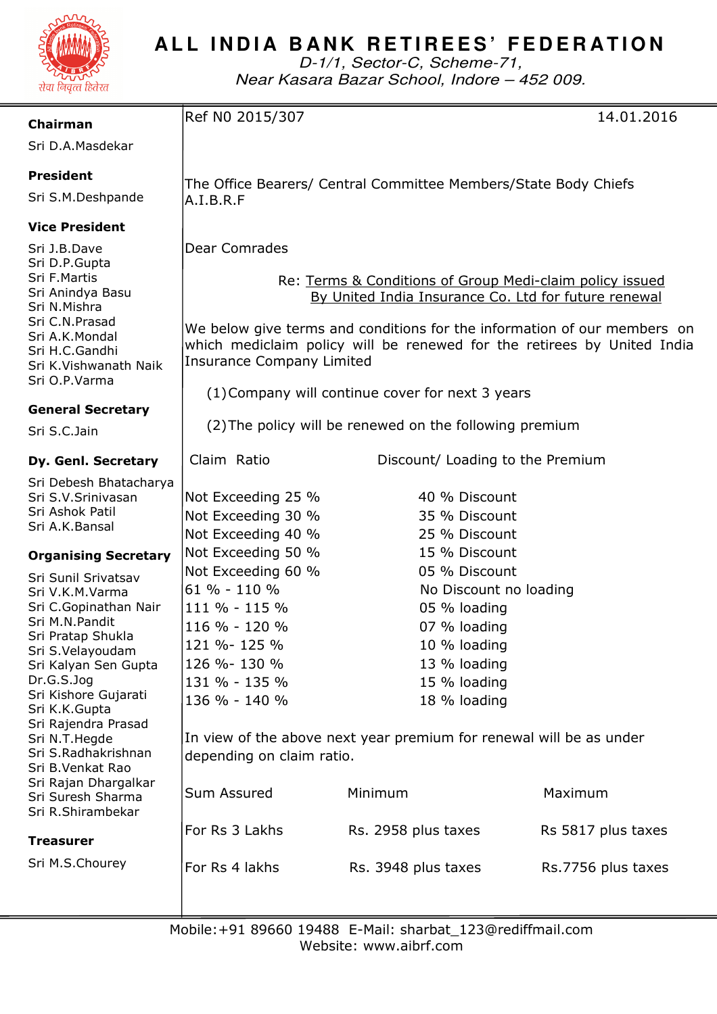

# **ALL INDIA BANK RETIREES' FEDERATION**

D-1/1, Sector-C, Scheme-71, Near Kasara Bazar School, Indore – 452 009.

| Chairman                                           | Ref N0 2015/307                                                                                                                                                                         |                                  | 14.01.2016         |
|----------------------------------------------------|-----------------------------------------------------------------------------------------------------------------------------------------------------------------------------------------|----------------------------------|--------------------|
| Sri D.A.Masdekar                                   |                                                                                                                                                                                         |                                  |                    |
| <b>President</b>                                   |                                                                                                                                                                                         |                                  |                    |
| Sri S.M.Deshpande                                  | The Office Bearers/ Central Committee Members/State Body Chiefs                                                                                                                         |                                  |                    |
|                                                    | A.I.B.R.F                                                                                                                                                                               |                                  |                    |
| <b>Vice President</b>                              |                                                                                                                                                                                         |                                  |                    |
| Sri J.B.Dave                                       | <b>Dear Comrades</b>                                                                                                                                                                    |                                  |                    |
| Sri D.P.Gupta<br>Sri F.Martis                      | Re: Terms & Conditions of Group Medi-claim policy issued                                                                                                                                |                                  |                    |
| Sri Anindya Basu<br>Sri N.Mishra<br>Sri C.N.Prasad | By United India Insurance Co. Ltd for future renewal                                                                                                                                    |                                  |                    |
|                                                    |                                                                                                                                                                                         |                                  |                    |
| Sri A.K.Mondal                                     | We below give terms and conditions for the information of our members on<br>which mediclaim policy will be renewed for the retirees by United India<br><b>Insurance Company Limited</b> |                                  |                    |
| Sri H.C.Gandhi<br>Sri K.Vishwanath Naik            |                                                                                                                                                                                         |                                  |                    |
| Sri O.P.Varma                                      |                                                                                                                                                                                         |                                  |                    |
|                                                    | (1) Company will continue cover for next 3 years                                                                                                                                        |                                  |                    |
| <b>General Secretary</b>                           | (2) The policy will be renewed on the following premium                                                                                                                                 |                                  |                    |
| Sri S.C.Jain                                       |                                                                                                                                                                                         |                                  |                    |
| Dy. Genl. Secretary                                | Claim Ratio                                                                                                                                                                             | Discount/ Loading to the Premium |                    |
| Sri Debesh Bhatacharya                             |                                                                                                                                                                                         |                                  |                    |
| Sri S.V.Srinivasan<br>Sri Ashok Patil              | Not Exceeding 25 %                                                                                                                                                                      | 40 % Discount                    |                    |
| Sri A.K.Bansal                                     | Not Exceeding 30 %<br>Not Exceeding 40 %                                                                                                                                                | 35 % Discount<br>25 % Discount   |                    |
|                                                    | Not Exceeding 50 %<br>15 % Discount                                                                                                                                                     |                                  |                    |
| <b>Organising Secretary</b>                        | Not Exceeding 60 %                                                                                                                                                                      | 05 % Discount                    |                    |
| Sri Sunil Srivatsav<br>Sri V.K.M.Varma             | 61 % - 110 %                                                                                                                                                                            | No Discount no loading           |                    |
| Sri C.Gopinathan Nair                              | 111 % - 115 %                                                                                                                                                                           | 05 % loading                     |                    |
| Sri M.N.Pandit                                     | 116 % - 120 %                                                                                                                                                                           | 07 % loading                     |                    |
| Sri Pratap Shukla<br>Sri S.Velayoudam              | 121 %-125 %                                                                                                                                                                             | 10 % loading                     |                    |
| Sri Kalyan Sen Gupta                               | 126 %-130 %                                                                                                                                                                             | 13 % loading                     |                    |
| Dr.G.S.Jog                                         | 131 % - 135 %                                                                                                                                                                           | 15 % loading                     |                    |
| Sri Kishore Gujarati<br>Sri K.K.Gupta              | 136 % - 140 %                                                                                                                                                                           | 18 % loading                     |                    |
| Sri Rajendra Prasad                                |                                                                                                                                                                                         |                                  |                    |
| Sri N.T.Hegde                                      | In view of the above next year premium for renewal will be as under                                                                                                                     |                                  |                    |
| Sri S.Radhakrishnan<br>Sri B.Venkat Rao            | depending on claim ratio.                                                                                                                                                               |                                  |                    |
| Sri Rajan Dhargalkar                               |                                                                                                                                                                                         |                                  |                    |
| Sri Suresh Sharma<br>Sri R.Shirambekar             | Sum Assured                                                                                                                                                                             | Minimum                          | Maximum            |
|                                                    | For Rs 3 Lakhs                                                                                                                                                                          | Rs. 2958 plus taxes              | Rs 5817 plus taxes |
| Treasurer                                          |                                                                                                                                                                                         |                                  |                    |
| Sri M.S.Chourey                                    | For Rs 4 lakhs                                                                                                                                                                          | Rs. 3948 plus taxes              | Rs.7756 plus taxes |
|                                                    |                                                                                                                                                                                         |                                  |                    |